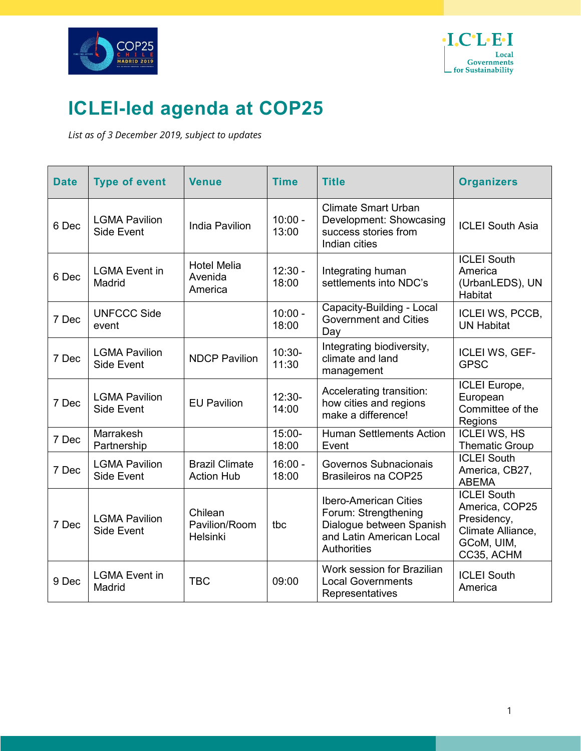

## **ICLEI-led agenda at COP25**

*List as of 3 December 2019, subject to updates*

| <b>Date</b> | <b>Type of event</b>               | <b>Venue</b>                               | <b>Time</b>        | <b>Title</b>                                                                                                                | <b>Organizers</b>                                                                                    |
|-------------|------------------------------------|--------------------------------------------|--------------------|-----------------------------------------------------------------------------------------------------------------------------|------------------------------------------------------------------------------------------------------|
| 6 Dec       | <b>LGMA Pavilion</b><br>Side Event | <b>India Pavilion</b>                      | $10:00 -$<br>13:00 | <b>Climate Smart Urban</b><br>Development: Showcasing<br>success stories from<br>Indian cities                              | <b>ICLEI South Asia</b>                                                                              |
| 6 Dec       | <b>LGMA Event in</b><br>Madrid     | <b>Hotel Melia</b><br>Avenida<br>America   | $12:30 -$<br>18:00 | Integrating human<br>settlements into NDC's                                                                                 | <b>ICLEI South</b><br>America<br>(UrbanLEDS), UN<br><b>Habitat</b>                                   |
| 7 Dec       | <b>UNFCCC Side</b><br>event        |                                            | $10:00 -$<br>18:00 | Capacity-Building - Local<br><b>Government and Cities</b><br>Day                                                            | ICLEI WS, PCCB,<br><b>UN Habitat</b>                                                                 |
| 7 Dec       | <b>LGMA Pavilion</b><br>Side Event | <b>NDCP Pavilion</b>                       | $10:30-$<br>11:30  | Integrating biodiversity,<br>climate and land<br>management                                                                 | ICLEI WS, GEF-<br><b>GPSC</b>                                                                        |
| 7 Dec       | <b>LGMA Pavilion</b><br>Side Event | <b>EU Pavilion</b>                         | $12:30-$<br>14:00  | Accelerating transition:<br>how cities and regions<br>make a difference!                                                    | <b>ICLEI</b> Europe,<br>European<br>Committee of the<br>Regions                                      |
| 7 Dec       | Marrakesh<br>Partnership           |                                            | 15:00-<br>18:00    | <b>Human Settlements Action</b><br>Event                                                                                    | <b>ICLEI WS, HS</b><br><b>Thematic Group</b>                                                         |
| 7 Dec       | <b>LGMA Pavilion</b><br>Side Event | <b>Brazil Climate</b><br><b>Action Hub</b> | $16:00 -$<br>18:00 | Governos Subnacionais<br>Brasileiros na COP25                                                                               | <b>ICLEI South</b><br>America, CB27,<br><b>ABEMA</b>                                                 |
| 7 Dec       | <b>LGMA Pavilion</b><br>Side Event | Chilean<br>Pavilion/Room<br>Helsinki       | tbc                | <b>Ibero-American Cities</b><br>Forum: Strengthening<br>Dialogue between Spanish<br>and Latin American Local<br>Authorities | <b>ICLEI South</b><br>America, COP25<br>Presidency,<br>Climate Alliance,<br>GCoM, UIM,<br>CC35, ACHM |
| 9 Dec       | <b>LGMA Event in</b><br>Madrid     | <b>TBC</b>                                 | 09:00              | Work session for Brazilian<br><b>Local Governments</b><br>Representatives                                                   | <b>ICLEI South</b><br>America                                                                        |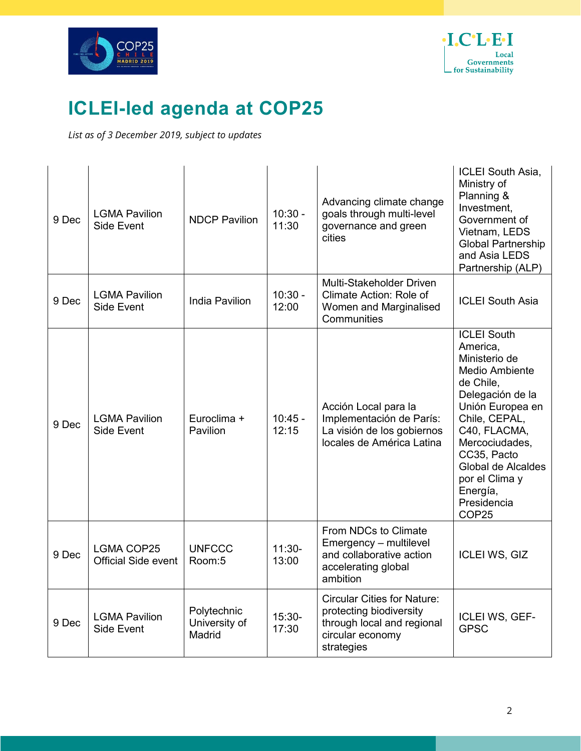

## **ICLEI-led agenda at COP25**

*List as of 3 December 2019, subject to updates*

| 9 Dec | <b>LGMA Pavilion</b><br><b>Side Event</b>       | <b>NDCP Pavilion</b>                   | $10:30 -$<br>11:30 | Advancing climate change<br>goals through multi-level<br>governance and green<br>cities                                       | ICLEI South Asia,<br>Ministry of<br>Planning &<br>Investment,<br>Government of<br>Vietnam, LEDS<br><b>Global Partnership</b><br>and Asia LEDS<br>Partnership (ALP)                                                                                                   |
|-------|-------------------------------------------------|----------------------------------------|--------------------|-------------------------------------------------------------------------------------------------------------------------------|----------------------------------------------------------------------------------------------------------------------------------------------------------------------------------------------------------------------------------------------------------------------|
| 9 Dec | <b>LGMA Pavilion</b><br><b>Side Event</b>       | <b>India Pavilion</b>                  | $10:30 -$<br>12:00 | Multi-Stakeholder Driven<br>Climate Action: Role of<br>Women and Marginalised<br>Communities                                  | <b>ICLEI South Asia</b>                                                                                                                                                                                                                                              |
| 9 Dec | <b>LGMA Pavilion</b><br>Side Event              | Euroclima +<br>Pavilion                | $10:45 -$<br>12:15 | Acción Local para la<br>Implementación de París:<br>La visión de los gobiernos<br>locales de América Latina                   | <b>ICLEI South</b><br>America,<br>Ministerio de<br>Medio Ambiente<br>de Chile,<br>Delegación de la<br>Unión Europea en<br>Chile, CEPAL,<br>C40, FLACMA,<br>Mercociudades,<br>CC35, Pacto<br>Global de Alcaldes<br>por el Clima y<br>Energía,<br>Presidencia<br>COP25 |
| 9 Dec | <b>LGMA COP25</b><br><b>Official Side event</b> | <b>UNFCCC</b><br>Room:5                | $11:30-$<br>13:00  | From NDCs to Climate<br>Emergency - multilevel<br>and collaborative action<br>accelerating global<br>ambition                 | <b>ICLEI WS, GIZ</b>                                                                                                                                                                                                                                                 |
| 9 Dec | <b>LGMA Pavilion</b><br>Side Event              | Polytechnic<br>University of<br>Madrid | 15:30-<br>17:30    | <b>Circular Cities for Nature:</b><br>protecting biodiversity<br>through local and regional<br>circular economy<br>strategies | ICLEI WS, GEF-<br><b>GPSC</b>                                                                                                                                                                                                                                        |